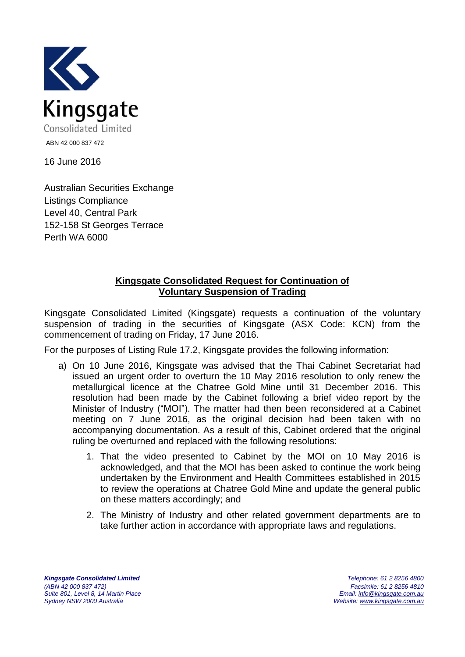

16 June 2016

Australian Securities Exchange Listings Compliance Level 40, Central Park 152-158 St Georges Terrace Perth WA 6000

## **Kingsgate Consolidated Request for Continuation of Voluntary Suspension of Trading**

Kingsgate Consolidated Limited (Kingsgate) requests a continuation of the voluntary suspension of trading in the securities of Kingsgate (ASX Code: KCN) from the commencement of trading on Friday, 17 June 2016.

For the purposes of Listing Rule 17.2, Kingsgate provides the following information:

- a) On 10 June 2016, Kingsgate was advised that the Thai Cabinet Secretariat had issued an urgent order to overturn the 10 May 2016 resolution to only renew the metallurgical licence at the Chatree Gold Mine until 31 December 2016. This resolution had been made by the Cabinet following a brief video report by the Minister of Industry ("MOI"). The matter had then been reconsidered at a Cabinet meeting on 7 June 2016, as the original decision had been taken with no accompanying documentation. As a result of this, Cabinet ordered that the original ruling be overturned and replaced with the following resolutions:
	- 1. That the video presented to Cabinet by the MOI on 10 May 2016 is acknowledged, and that the MOI has been asked to continue the work being undertaken by the Environment and Health Committees established in 2015 to review the operations at Chatree Gold Mine and update the general public on these matters accordingly; and
	- 2. The Ministry of Industry and other related government departments are to take further action in accordance with appropriate laws and regulations.